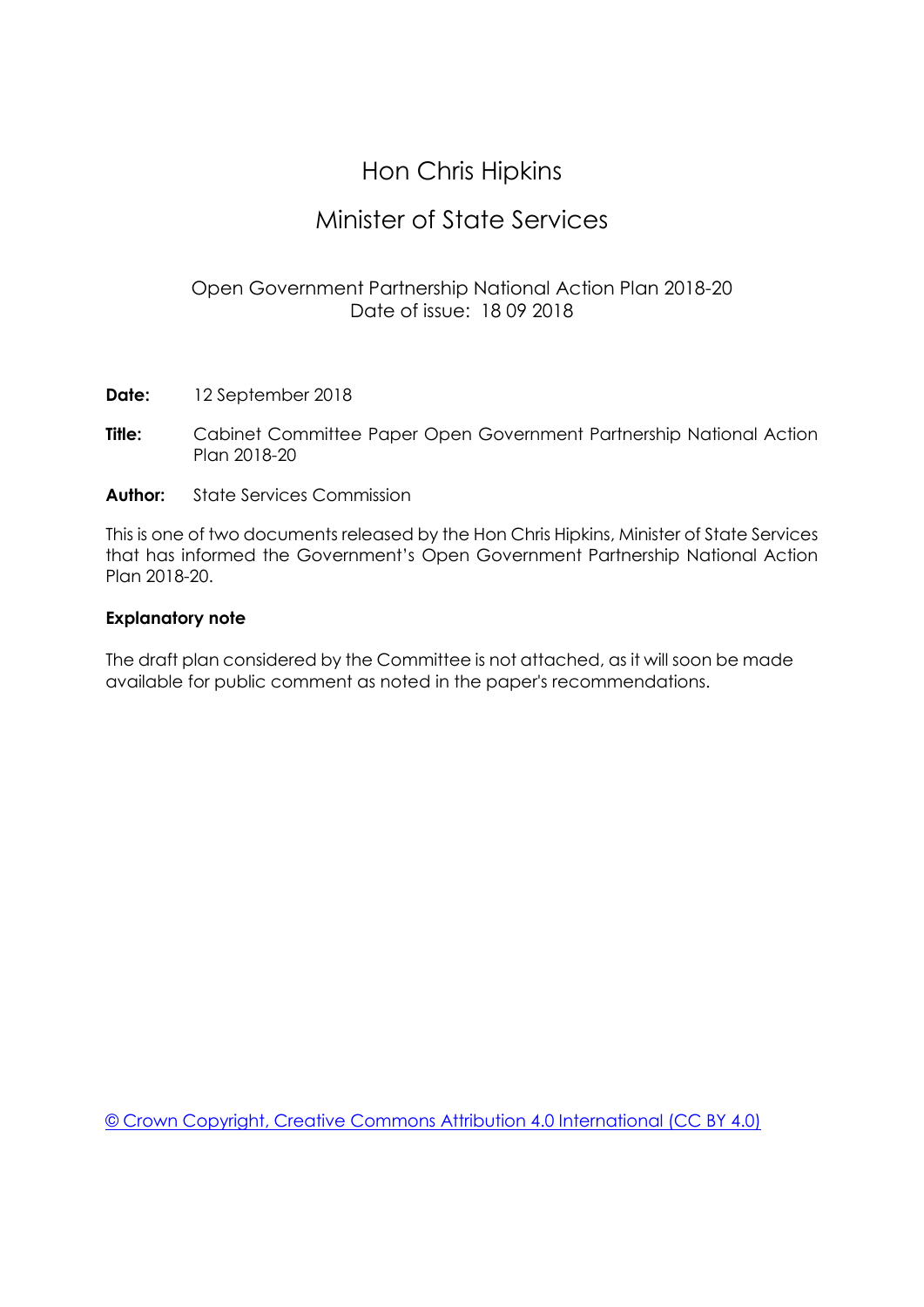# Hon Chris Hipkins

## Minister of State Services

## Open Government Partnership National Action Plan 2018-20 Date of issue: 18 09 2018

- **Date:** 12 September 2018
- **Title:** Cabinet Committee Paper Open Government Partnership National Action Plan 2018-20
- **Author:** State Services Commission

This is one of two documents released by the Hon Chris Hipkins, Minister of State Services that has informed the Government's Open Government Partnership National Action Plan 2018-20.

#### **Explanatory note**

The draft plan considered by the Committee is not attached, as it will soon be made available for public comment as noted in the paper's recommendations.

[© Crown Copyright, Creative Commons Attribution 4.0 International \(CC BY 4.0\)](https://creativecommons.org/licenses/by/4.0/)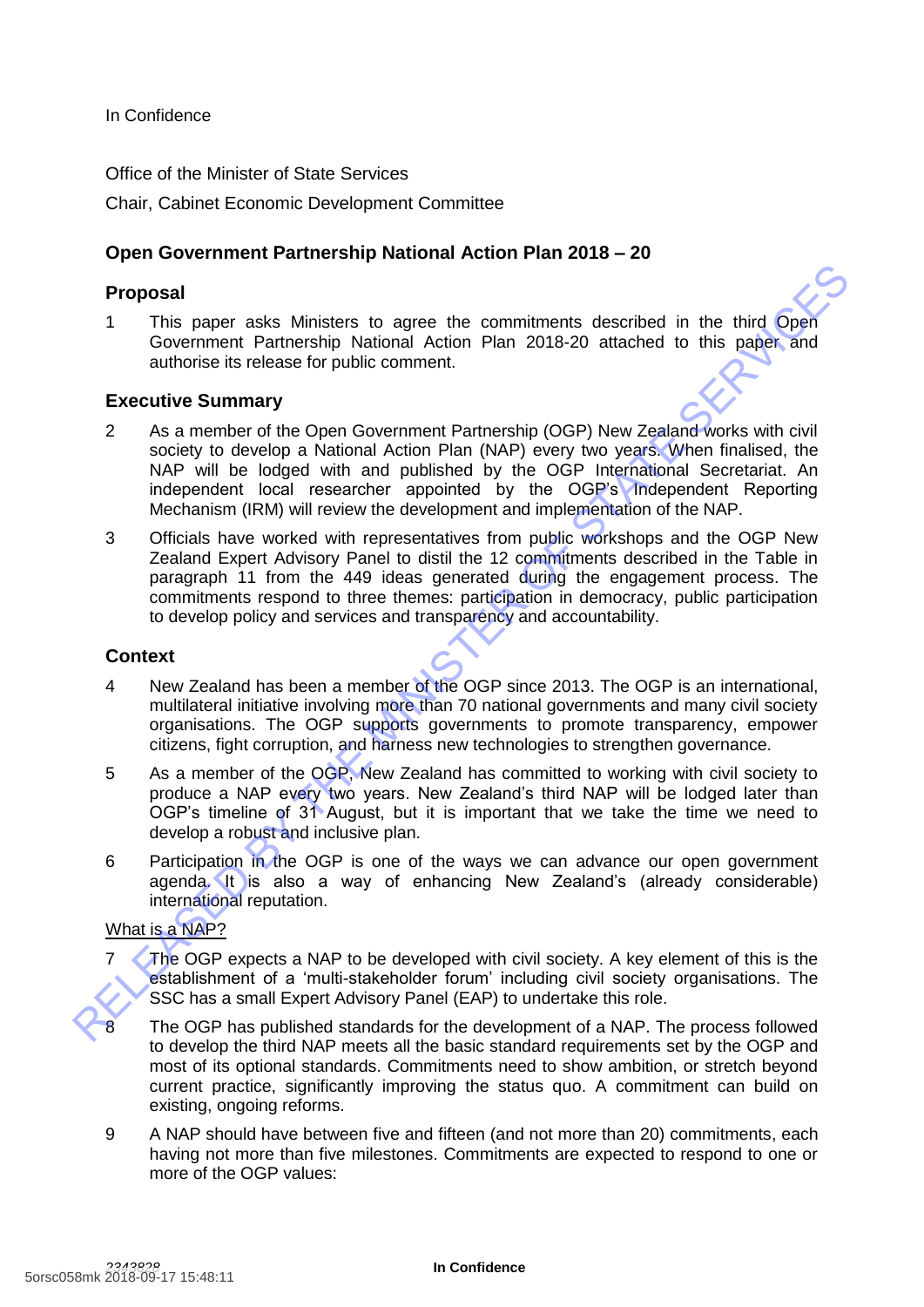In Confidence

Office of the Minister of State Services Chair, Cabinet Economic Development Committee

## **Open Government Partnership National Action Plan 2018 – 20**

#### **Proposal**

1 This paper asks Ministers to agree the commitments described in the third Open Government Partnership National Action Plan 2018-20 attached to this paper and authorise its release for public comment.

#### **Executive Summary**

- 2 As a member of the Open Government Partnership (OGP) New Zealand works with civil society to develop a National Action Plan (NAP) every two years. When finalised, the NAP will be lodged with and published by the OGP International Secretariat. An independent local researcher appointed by the OGP's Independent Reporting Mechanism (IRM) will review the development and implementation of the NAP. **Proposal**<br>
This paper asks Ministers to agree the commitments described in the third Open<br>
Government Pathership National Action Plan 2018-20 attached to this paper.<br>
and Covernment Pathership National Action Plan 2018-2
	- 3 Officials have worked with representatives from public workshops and the OGP New Zealand Expert Advisory Panel to distil the 12 commitments described in the Table in paragraph 11 from the 449 ideas generated during the engagement process. The commitments respond to three themes: participation in democracy, public participation to develop policy and services and transparency and accountability.

#### **Context**

- 4 New Zealand has been a member of the OGP since 2013. The OGP is an international, multilateral initiative involving more than 70 national governments and many civil society organisations. The OGP supports governments to promote transparency, empower citizens, fight corruption, and harness new technologies to strengthen governance.
- 5 As a member of the OGP, New Zealand has committed to working with civil society to produce a NAP every two years. New Zealand's third NAP will be lodged later than OGP's timeline of 31 August, but it is important that we take the time we need to develop a robust and inclusive plan.
- 6 Participation in the OGP is one of the ways we can advance our open government agenda. It is also a way of enhancing New Zealand's (already considerable) international reputation.

#### What is a NAP?

The OGP expects a NAP to be developed with civil society. A key element of this is the establishment of a 'multi-stakeholder forum' including civil society organisations. The SSC has a small Expert Advisory Panel (EAP) to undertake this role.

The OGP has published standards for the development of a NAP. The process followed to develop the third NAP meets all the basic standard requirements set by the OGP and most of its optional standards. Commitments need to show ambition, or stretch beyond current practice, significantly improving the status quo. A commitment can build on existing, ongoing reforms.

9 A NAP should have between five and fifteen (and not more than 20) commitments, each having not more than five milestones. Commitments are expected to respond to one or more of the OGP values: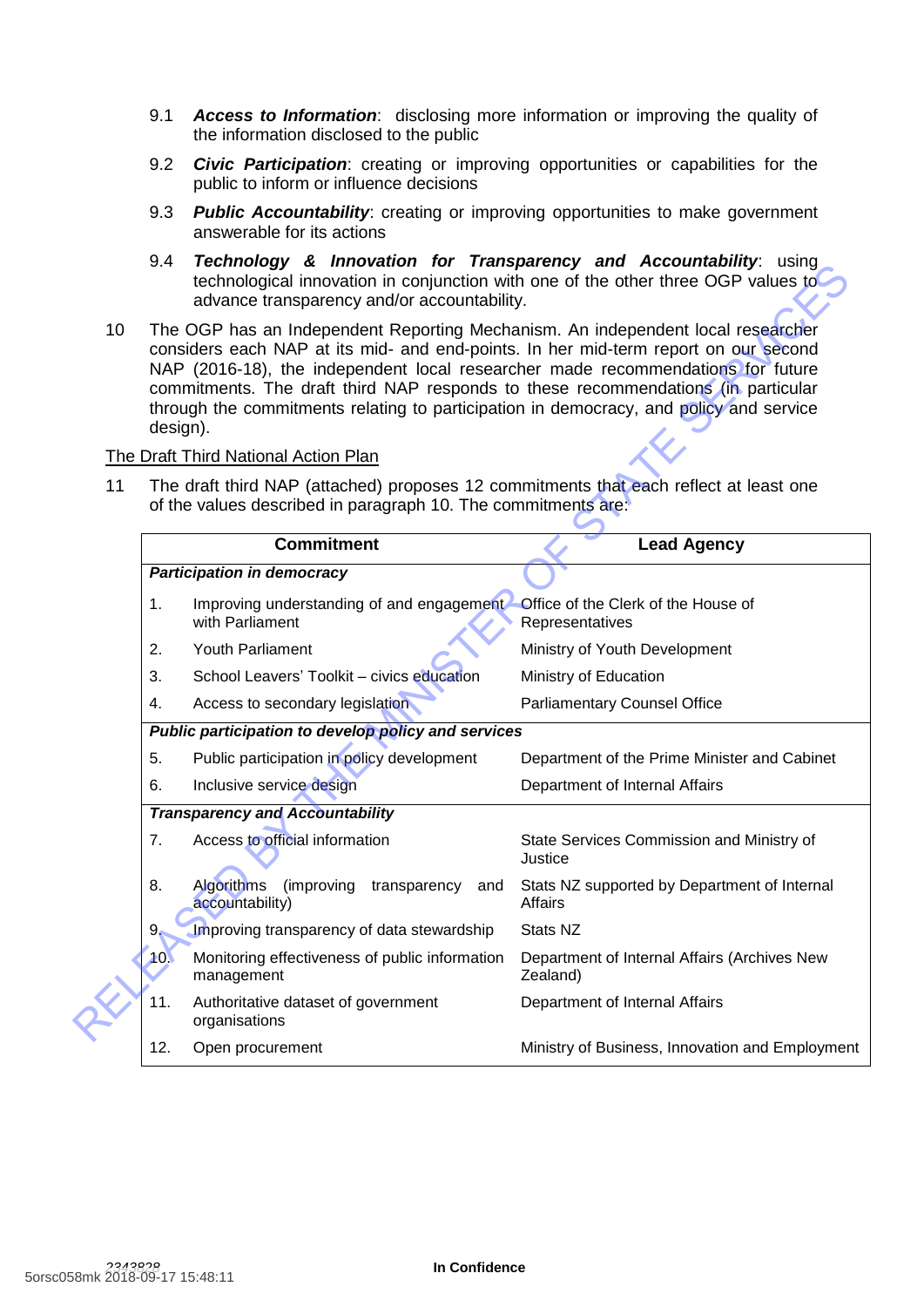- 9.1 *Access to Information*: disclosing more information or improving the quality of the information disclosed to the public
- 9.2 *Civic Participation*: creating or improving opportunities or capabilities for the public to inform or influence decisions
- 9.3 *Public Accountability*: creating or improving opportunities to make government answerable for its actions
- 9.4 *Technology & Innovation for Transparency and Accountability*: using technological innovation in conjunction with one of the other three OGP values to advance transparency and/or accountability.
- 10 The OGP has an Independent Reporting Mechanism. An independent local researcher considers each NAP at its mid- and end-points. In her mid-term report on our second NAP (2016-18), the independent local researcher made recommendations for future commitments. The draft third NAP responds to these recommendations (in particular through the commitments relating to participation in democracy, and policy and service design).

#### The Draft Third National Action Plan

|    |                                                                                                                                                                                                                                                                                                                                                                                                                                                      | a mnovadon ior nansparchoy and A<br>technological innovation in conjunction with one of the other three OGP values to<br>advance transparency and/or accountability. |                                                          |  |
|----|------------------------------------------------------------------------------------------------------------------------------------------------------------------------------------------------------------------------------------------------------------------------------------------------------------------------------------------------------------------------------------------------------------------------------------------------------|----------------------------------------------------------------------------------------------------------------------------------------------------------------------|----------------------------------------------------------|--|
| 10 | The OGP has an Independent Reporting Mechanism. An independent local researcher<br>considers each NAP at its mid- and end-points. In her mid-term report on our second<br>NAP (2016-18), the independent local researcher made recommendations for future<br>commitments. The draft third NAP responds to these recommendations (in particular<br>through the commitments relating to participation in democracy, and policy and service<br>design). |                                                                                                                                                                      |                                                          |  |
|    | The Draft Third National Action Plan                                                                                                                                                                                                                                                                                                                                                                                                                 |                                                                                                                                                                      |                                                          |  |
| 11 | The draft third NAP (attached) proposes 12 commitments that each reflect at least one<br>of the values described in paragraph 10. The commitments are:                                                                                                                                                                                                                                                                                               |                                                                                                                                                                      |                                                          |  |
|    |                                                                                                                                                                                                                                                                                                                                                                                                                                                      | <b>Commitment</b>                                                                                                                                                    | <b>Lead Agency</b>                                       |  |
|    |                                                                                                                                                                                                                                                                                                                                                                                                                                                      | <b>Participation in democracy</b>                                                                                                                                    |                                                          |  |
|    | 1.                                                                                                                                                                                                                                                                                                                                                                                                                                                   | Improving understanding of and engagement<br>with Parliament                                                                                                         | Office of the Clerk of the House of<br>Representatives   |  |
|    | 2.                                                                                                                                                                                                                                                                                                                                                                                                                                                   | Youth Parliament                                                                                                                                                     | Ministry of Youth Development                            |  |
|    | 3.                                                                                                                                                                                                                                                                                                                                                                                                                                                   | School Leavers' Toolkit - civics education                                                                                                                           | Ministry of Education                                    |  |
|    | 4.                                                                                                                                                                                                                                                                                                                                                                                                                                                   | Access to secondary legislation                                                                                                                                      | <b>Parliamentary Counsel Office</b>                      |  |
|    | Public participation to develop policy and services                                                                                                                                                                                                                                                                                                                                                                                                  |                                                                                                                                                                      |                                                          |  |
|    | 5.                                                                                                                                                                                                                                                                                                                                                                                                                                                   | Public participation in policy development                                                                                                                           | Department of the Prime Minister and Cabinet             |  |
|    | 6.                                                                                                                                                                                                                                                                                                                                                                                                                                                   | Inclusive service design                                                                                                                                             | Department of Internal Affairs                           |  |
|    | <b>Transparency and Accountability</b>                                                                                                                                                                                                                                                                                                                                                                                                               |                                                                                                                                                                      |                                                          |  |
|    | 7.                                                                                                                                                                                                                                                                                                                                                                                                                                                   | Access to official information                                                                                                                                       | State Services Commission and Ministry of<br>Justice     |  |
|    | 8.                                                                                                                                                                                                                                                                                                                                                                                                                                                   | Algorithms<br>(improving transparency<br>and<br>accountability)                                                                                                      | Stats NZ supported by Department of Internal<br>Affairs  |  |
|    | 9.                                                                                                                                                                                                                                                                                                                                                                                                                                                   | Improving transparency of data stewardship                                                                                                                           | Stats NZ                                                 |  |
|    | 10.                                                                                                                                                                                                                                                                                                                                                                                                                                                  | Monitoring effectiveness of public information<br>management                                                                                                         | Department of Internal Affairs (Archives New<br>Zealand) |  |
|    | 11.                                                                                                                                                                                                                                                                                                                                                                                                                                                  | Authoritative dataset of government<br>organisations                                                                                                                 | Department of Internal Affairs                           |  |
|    | 12.                                                                                                                                                                                                                                                                                                                                                                                                                                                  | Open procurement                                                                                                                                                     | Ministry of Business, Innovation and Employment          |  |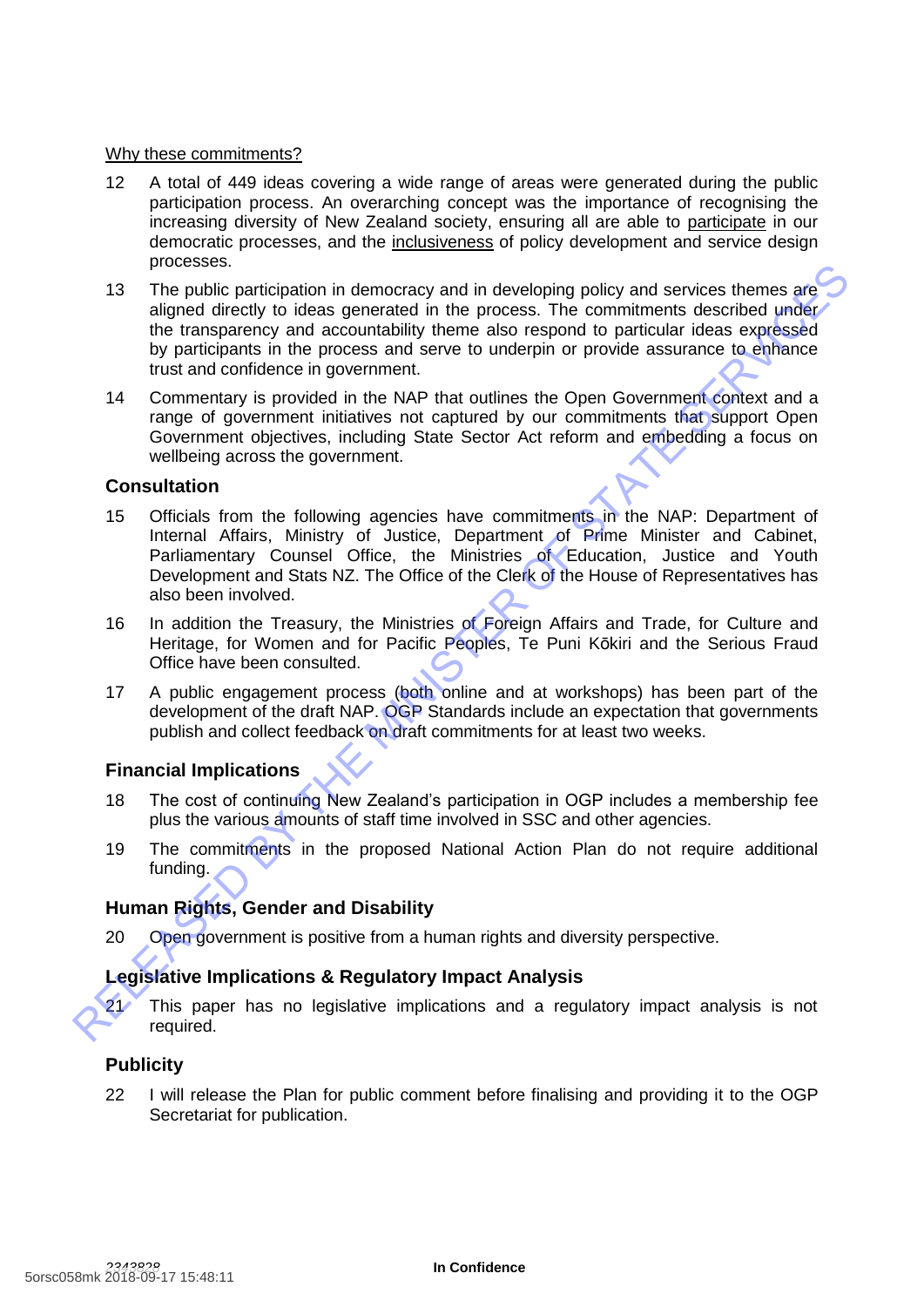#### Why these commitments?

- 12 A total of 449 ideas covering a wide range of areas were generated during the public participation process. An overarching concept was the importance of recognising the increasing diversity of New Zealand society, ensuring all are able to participate in our democratic processes, and the inclusiveness of policy development and service design processes.
- 13 The public participation in democracy and in developing policy and services themes are aligned directly to ideas generated in the process. The commitments described under the transparency and accountability theme also respond to particular ideas expressed by participants in the process and serve to underpin or provide assurance to enhance trust and confidence in government. The public participation in democracy and in developing policy and services themes are<br>aligned directly to ideas generated in the process. The commitments described under<br>the temsparency and accountability theme also respo
	- 14 Commentary is provided in the NAP that outlines the Open Government context and a range of government initiatives not captured by our commitments that support Open Government objectives, including State Sector Act reform and embedding a focus on wellbeing across the government.

#### **Consultation**

- 15 Officials from the following agencies have commitments in the NAP: Department of Internal Affairs, Ministry of Justice, Department of Prime Minister and Cabinet, Parliamentary Counsel Office, the Ministries of Education, Justice and Youth Development and Stats NZ. The Office of the Clerk of the House of Representatives has also been involved.
- 16 In addition the Treasury, the Ministries of Foreign Affairs and Trade, for Culture and Heritage, for Women and for Pacific Peoples, Te Puni Kōkiri and the Serious Fraud Office have been consulted.
- 17 A public engagement process (both online and at workshops) has been part of the development of the draft NAP. OGP Standards include an expectation that governments publish and collect feedback on draft commitments for at least two weeks.

#### **Financial Implications**

- 18 The cost of continuing New Zealand's participation in OGP includes a membership fee plus the various amounts of staff time involved in SSC and other agencies.
- 19 The commitments in the proposed National Action Plan do not require additional funding.

## **Human Rights, Gender and Disability**

20 Open government is positive from a human rights and diversity perspective.

#### **Legislative Implications & Regulatory Impact Analysis**



21 This paper has no legislative implications and a regulatory impact analysis is not required.

#### **Publicity**

22 I will release the Plan for public comment before finalising and providing it to the OGP Secretariat for publication.